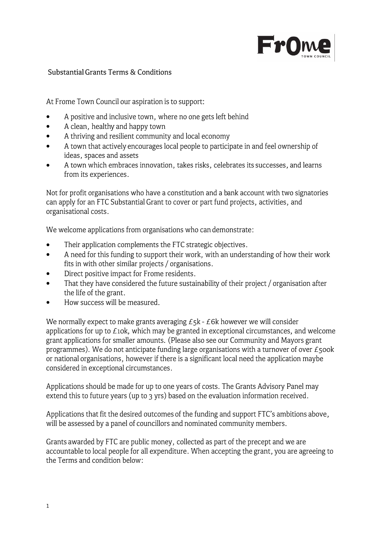

## Substantial Grants Terms & Conditions

At Frome Town Council our aspiration is to support:

- A positive and inclusive town, where no one gets left behind •
- A clean, healthy and happy town •
- A thriving and resilient community and local economy •
- A town that actively encourages local people to participate in and feel ownership of ideas, spaces and assets •
- A town which embraces innovation, takes risks, celebrates its successes, and learns from its experiences. •

Not for profit organisations who have a constitution and a bank account with two signatories can apply for an FTC Substantial Grant to cover or part fund projects, activities, and organisational costs.

We welcome applications from organisations who can demonstrate:

- Their application complements the FTC strategic objectives. •
- A need for this funding to support their work, with an understanding of how their work fits in with other similar projects/ organisations. •
- Direct positive impact for Frome residents. •
- That they have considered the future sustainability of their project/ organisation after the life of the grant. •
- How success will be measured. •

We normally expect to make grants averaging  $E_5k - E_6k$  however we will consider applications for up to  $E$ 10k, which may be granted in exceptional circumstances, and welcome grant applications for smaller amounts. (Please also see our Community and Mayors grant programmes). We do not anticipate funding large organisations with a turnover of over  $\epsilon$ 500k or national organisations, however if there is a significant local need the application maybe considered in exceptional circumstances.

Applications should be made for up to one years of costs. The Grants Advisory Panel may extend this to future years (up to 3 yrs) based on the evaluation information received.

Applications that fit the desired outcomes of the funding and support FTC's ambitions above, will be assessed by a panel of councillors and nominated community members.

Grants awarded by FTC are public money, collected as part of the precept and we are accountable to local people for all expenditure. When accepting the grant, you are agreeing to the Terms and condition below: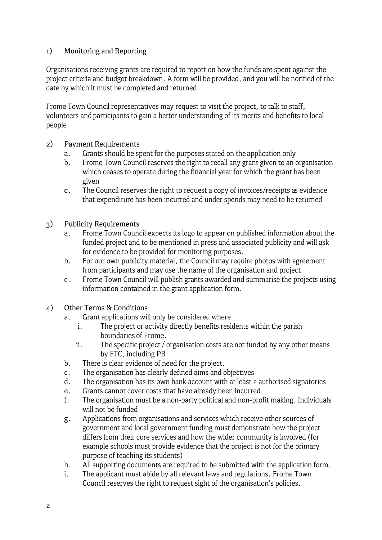## 1) Monitoring and Reporting

Organisations receiving grants are required to report on how the funds are spent against the project criteria and budget breakdown. A form will be provided, and you will be notified of the date by which it must be completed and returned.

Frome Town Council representatives may request to visit the project, to talk to staff, volunteers and participants to gain a better understanding of its merits and benefits to local people.

## 2) Payment Requirements

- a. Grants should be spent for the purposes stated on the application only
- b. Frome Town Council reserves the right to recall any grant given to an organisation which ceases to operate during the financial year for which the grant has been given
- c. The Council reserves the right to request a copy of invoices/receipts as evidence that expenditure has been incurred and under spends may need to be returned

## 3) Publicity Requirements

- a. Frome Town Council expects its logo to appear on published information about the funded project and to be mentioned in press and associated publicity and will ask for evidence to be provided for monitoring purposes.
- b. For our own publicity material, the Council may require photos with agreement from participants and may use the name of the organisation and project
- c. Frame Town Council will publish grants awarded and summarise the projects using information contained in the grant application form.
- 4) Other Terms & Conditions
	- a. Grant applications will only be considered where
		- i. The project or activity directly benefits residents within the parish boundaries of Frome.
		- ii. The specific project/ organisation costs are not funded by any other means by FTC, including PB
	- b. There is clear evidence of need for the project.
	- c. The organisation has clearly defined aims and objectives
	- d. The organisation has its own bank account with at least 2 authorised signatories
	- e. Grants cannot cover costs that have already been incurred
	- f. The organisation must be a non-party political and non-profit making. Individuals will not be funded
	- g. Applications from organisations and services which receive other sources of government and local government funding must demonstrate how the project differs from their core services and how the wider community is involved (for example schools must provide evidence that the project is not for the primary purpose of teaching its students)
	- h. All supporting documents are required to be submitted with the application form.
	- 1. The applicant must abide by all relevant laws and regulations. Frome Town Council reserves the right to request sight of the organisation's policies.